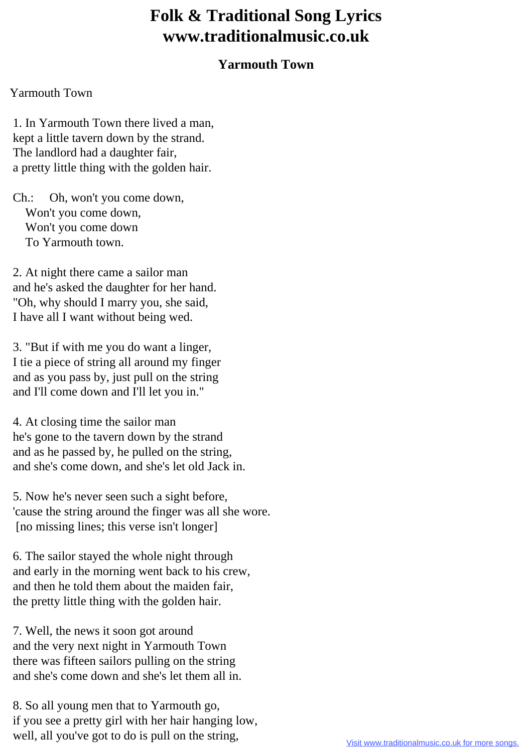## **Folk & Traditional Song Lyrics www.traditionalmusic.co.uk**

## **Yarmouth Town**

## Yarmouth Town

 1. In Yarmouth Town there lived a man, kept a little tavern down by the strand. The landlord had a daughter fair, a pretty little thing with the golden hair.

 Ch.: Oh, won't you come down, Won't you come down, Won't you come down To Yarmouth town.

 2. At night there came a sailor man and he's asked the daughter for her hand. "Oh, why should I marry you, she said, I have all I want without being wed.

 3. "But if with me you do want a linger, I tie a piece of string all around my finger and as you pass by, just pull on the string and I'll come down and I'll let you in."

 4. At closing time the sailor man he's gone to the tavern down by the strand and as he passed by, he pulled on the string, and she's come down, and she's let old Jack in.

 5. Now he's never seen such a sight before, 'cause the string around the finger was all she wore. [no missing lines; this verse isn't longer]

 6. The sailor stayed the whole night through and early in the morning went back to his crew, and then he told them about the maiden fair, the pretty little thing with the golden hair.

 7. Well, the news it soon got around and the very next night in Yarmouth Town there was fifteen sailors pulling on the string and she's come down and she's let them all in.

 8. So all young men that to Yarmouth go, if you see a pretty girl with her hair hanging low, well, all you've got to do is pull on the string,